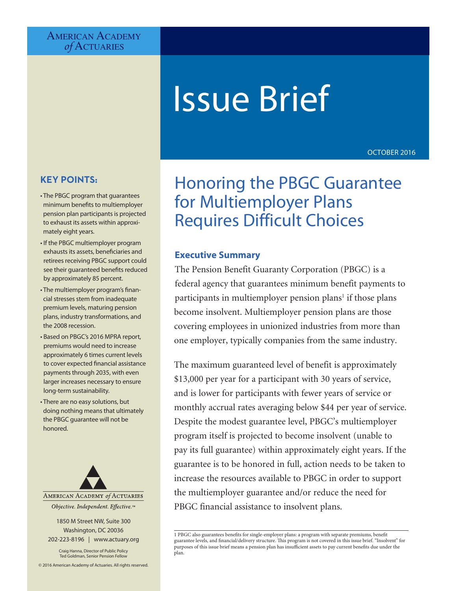## **AMERICAN ACADEMY** *of* Actuaries

# Issue Brief

OCTOBER 2016

## **KEY POINTS:**

- The PBGC program that guarantees minimum benefits to multiemployer pension plan participants is projected to exhaust its assets within approximately eight years.
- If the PBGC multiemployer program exhausts its assets, beneficiaries and retirees receiving PBGC support could see their guaranteed benefits reduced by approximately 85 percent.
- The multiemployer program's financial stresses stem from inadequate premium levels, maturing pension plans, industry transformations, and the 2008 recession.
- Based on PBGC's 2016 MPRA report, premiums would need to increase approximately 6 times current levels to cover expected financial assistance payments through 2035, with even larger increases necessary to ensure long-term sustainability.
- There are no easy solutions, but doing nothing means that ultimately the PBGC guarantee will not be honored.



Objective. Independent. Effective.™

1850 M Street NW, Suite 300 Washington, DC 20036 202-223-8196 | www.actuary.org

Craig Hanna, Director of Public Policy Ted Goldman, Senior Pension Fellow

© 2016 American Academy of Actuaries. All rights reserved.

## Honoring the PBGC Guarantee for Multiemployer Plans Requires Difficult Choices

## **Executive Summary**

The Pension Benefit Guaranty Corporation (PBGC) is a federal agency that guarantees minimum benefit payments to participants in multiemployer pension plans<sup>1</sup> if those plans become insolvent. Multiemployer pension plans are those covering employees in unionized industries from more than one employer, typically companies from the same industry.

The maximum guaranteed level of benefit is approximately \$13,000 per year for a participant with 30 years of service, and is lower for participants with fewer years of service or monthly accrual rates averaging below \$44 per year of service. Despite the modest guarantee level, PBGC's multiemployer program itself is projected to become insolvent (unable to pay its full guarantee) within approximately eight years. If the guarantee is to be honored in full, action needs to be taken to increase the resources available to PBGC in order to support the multiemployer guarantee and/or reduce the need for PBGC financial assistance to insolvent plans.

1 PBGC also guarantees benefits for single-employer plans: a program with separate premiums, benefit guarantee levels, and financial/delivery structure. This program is not covered in this issue brief. "Insolvent" for purposes of this issue brief means a pension plan has insufficient assets to pay current benefits due under the plan.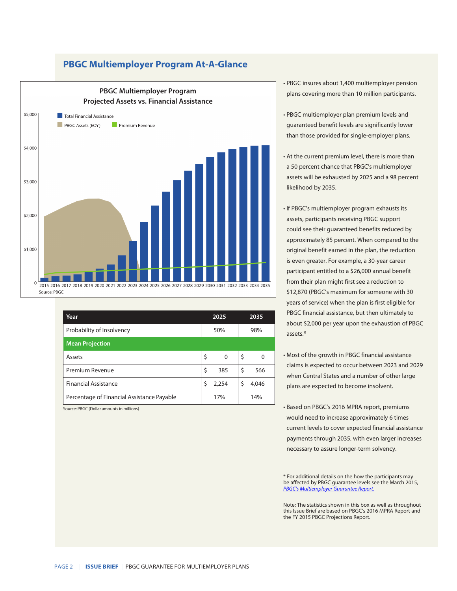## **PBGC Multiemployer Program At-A-Glance**



| Year                                       |     | 2025  |     | 2035  |
|--------------------------------------------|-----|-------|-----|-------|
| Probability of Insolvency                  | 50% |       | 98% |       |
| <b>Mean Projection</b>                     |     |       |     |       |
| Assets                                     | Ś   | 0     | \$  | 0     |
| Premium Revenue                            | \$  | 385   | \$  | 566   |
| <b>Financial Assistance</b>                | Ś   | 2,254 | Ś   | 4,046 |
| Percentage of Financial Assistance Payable |     | 17%   |     | 14%   |

Source: PBGC (Dollar amounts in millions)

• PBGC insures about 1,400 multiemployer pension plans covering more than 10 million participants.

- PBGC multiemployer plan premium levels and guaranteed benefit levels are significantly lower than those provided for single-employer plans.
- At the current premium level, there is more than a 50 percent chance that PBGC's multiemployer assets will be exhausted by 2025 and a 98 percent likelihood by 2035.
- If PBGC's multiemployer program exhausts its assets, participants receiving PBGC support could see their guaranteed benefits reduced by approximately 85 percent. When compared to the original benefit earned in the plan, the reduction is even greater. For example, a 30-year career participant entitled to a \$26,000 annual benefit from their plan might first see a reduction to \$12,870 (PBGC's maximum for someone with 30 years of service) when the plan is first eligible for PBGC financial assistance, but then ultimately to about \$2,000 per year upon the exhaustion of PBGC assets.\*
- Most of the growth in PBGC financial assistance claims is expected to occur between 2023 and 2029 when Central States and a number of other large plans are expected to become insolvent.
- Based on PBGC's 2016 MPRA report, premiums would need to increase approximately 6 times current levels to cover expected financial assistance payments through 2035, with even larger increases necessary to assure longer-term solvency.

\* For additional details on the how the participants may be affected by PBGC guarantee levels see the March 2015, *[PBGC's Multiemployer Guarantee Report](http://www.pbgc.gov/Documents/2015-ME-Guarantee-Study-Final.pdf).*

Note: The statistics shown in this box as well as throughout this Issue Brief are based on [PBGC's 2016 MPRA Report and](http://www.pbgc.gov/Documents/2015-ME-Guarantee-Study-Final.pdf)  [the FY 2015 PBGC Projections Report](http://www.pbgc.gov/Documents/2015-ME-Guarantee-Study-Final.pdf)*.*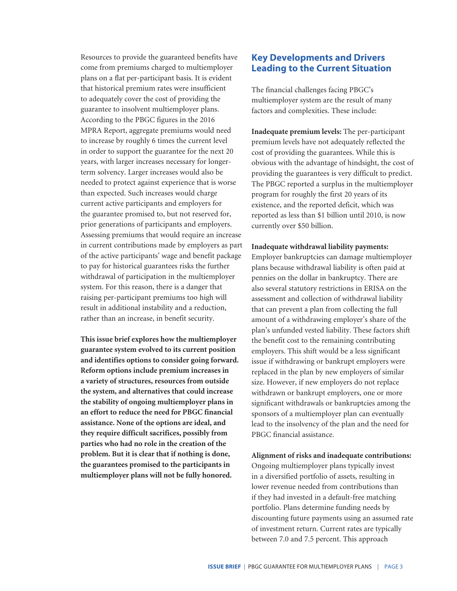Resources to provide the guaranteed benefits have come from premiums charged to multiemployer plans on a flat per-participant basis. It is evident that historical premium rates were insufficient to adequately cover the cost of providing the guarantee to insolvent multiemployer plans. According to the PBGC figures in the 2016 MPRA Report, aggregate premiums would need to increase by roughly 6 times the current level in order to support the guarantee for the next 20 years, with larger increases necessary for longerterm solvency. Larger increases would also be needed to protect against experience that is worse than expected. Such increases would charge current active participants and employers for the guarantee promised to, but not reserved for, prior generations of participants and employers. Assessing premiums that would require an increase in current contributions made by employers as part of the active participants' wage and benefit package to pay for historical guarantees risks the further withdrawal of participation in the multiemployer system. For this reason, there is a danger that raising per-participant premiums too high will result in additional instability and a reduction, rather than an increase, in benefit security.

**This issue brief explores how the multiemployer guarantee system evolved to its current position and identifies options to consider going forward. Reform options include premium increases in a variety of structures, resources from outside the system, and alternatives that could increase the stability of ongoing multiemployer plans in an effort to reduce the need for PBGC financial assistance. None of the options are ideal, and they require difficult sacrifices, possibly from parties who had no role in the creation of the problem. But it is clear that if nothing is done, the guarantees promised to the participants in multiemployer plans will not be fully honored.**

## **Key Developments and Drivers Leading to the Current Situation**

The financial challenges facing PBGC's multiemployer system are the result of many factors and complexities. These include:

**Inadequate premium levels:** The per-participant premium levels have not adequately reflected the cost of providing the guarantees. While this is obvious with the advantage of hindsight, the cost of providing the guarantees is very difficult to predict. The PBGC reported a surplus in the multiemployer program for roughly the first 20 years of its existence, and the reported deficit, which was reported as less than \$1 billion until 2010, is now currently over \$50 billion.

#### **Inadequate withdrawal liability payments:**

Employer bankruptcies can damage multiemployer plans because withdrawal liability is often paid at pennies on the dollar in bankruptcy. There are also several statutory restrictions in ERISA on the assessment and collection of withdrawal liability that can prevent a plan from collecting the full amount of a withdrawing employer's share of the plan's unfunded vested liability. These factors shift the benefit cost to the remaining contributing employers. This shift would be a less significant issue if withdrawing or bankrupt employers were replaced in the plan by new employers of similar size. However, if new employers do not replace withdrawn or bankrupt employers, one or more significant withdrawals or bankruptcies among the sponsors of a multiemployer plan can eventually lead to the insolvency of the plan and the need for PBGC financial assistance.

## **Alignment of risks and inadequate contributions:**

Ongoing multiemployer plans typically invest in a diversified portfolio of assets, resulting in lower revenue needed from contributions than if they had invested in a default-free matching portfolio. Plans determine funding needs by discounting future payments using an assumed rate of investment return. Current rates are typically between 7.0 and 7.5 percent. This approach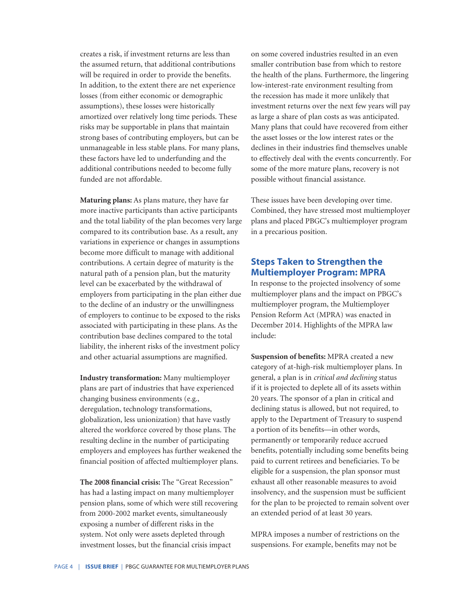creates a risk, if investment returns are less than the assumed return, that additional contributions will be required in order to provide the benefits. In addition, to the extent there are net experience losses (from either economic or demographic assumptions), these losses were historically amortized over relatively long time periods. These risks may be supportable in plans that maintain strong bases of contributing employers, but can be unmanageable in less stable plans. For many plans, these factors have led to underfunding and the additional contributions needed to become fully funded are not affordable.

**Maturing plans:** As plans mature, they have far more inactive participants than active participants and the total liability of the plan becomes very large compared to its contribution base. As a result, any variations in experience or changes in assumptions become more difficult to manage with additional contributions. A certain degree of maturity is the natural path of a pension plan, but the maturity level can be exacerbated by the withdrawal of employers from participating in the plan either due to the decline of an industry or the unwillingness of employers to continue to be exposed to the risks associated with participating in these plans. As the contribution base declines compared to the total liability, the inherent risks of the investment policy and other actuarial assumptions are magnified.

**Industry transformation:** Many multiemployer plans are part of industries that have experienced changing business environments (e.g., deregulation, technology transformations, globalization, less unionization) that have vastly altered the workforce covered by those plans. The resulting decline in the number of participating employers and employees has further weakened the financial position of affected multiemployer plans.

**The 2008 financial crisis:** The "Great Recession" has had a lasting impact on many multiemployer pension plans, some of which were still recovering from 2000-2002 market events, simultaneously exposing a number of different risks in the system. Not only were assets depleted through investment losses, but the financial crisis impact

on some covered industries resulted in an even smaller contribution base from which to restore the health of the plans. Furthermore, the lingering low-interest-rate environment resulting from the recession has made it more unlikely that investment returns over the next few years will pay as large a share of plan costs as was anticipated. Many plans that could have recovered from either the asset losses or the low interest rates or the declines in their industries find themselves unable to effectively deal with the events concurrently. For some of the more mature plans, recovery is not possible without financial assistance.

These issues have been developing over time. Combined, they have stressed most multiemployer plans and placed PBGC's multiemployer program in a precarious position.

## **Steps Taken to Strengthen the Multiemployer Program: MPRA**

In response to the projected insolvency of some multiemployer plans and the impact on PBGC's multiemployer program, the Multiemployer Pension Reform Act (MPRA) was enacted in December 2014. Highlights of the MPRA law include:

**Suspension of benefits:** MPRA created a new category of at-high-risk multiemployer plans. In general, a plan is in *critical and declining* status if it is projected to deplete all of its assets within 20 years. The sponsor of a plan in critical and declining status is allowed, but not required, to apply to the Department of Treasury to suspend a portion of its benefits—in other words, permanently or temporarily reduce accrued benefits, potentially including some benefits being paid to current retirees and beneficiaries. To be eligible for a suspension, the plan sponsor must exhaust all other reasonable measures to avoid insolvency, and the suspension must be sufficient for the plan to be projected to remain solvent over an extended period of at least 30 years.

MPRA imposes a number of restrictions on the suspensions. For example, benefits may not be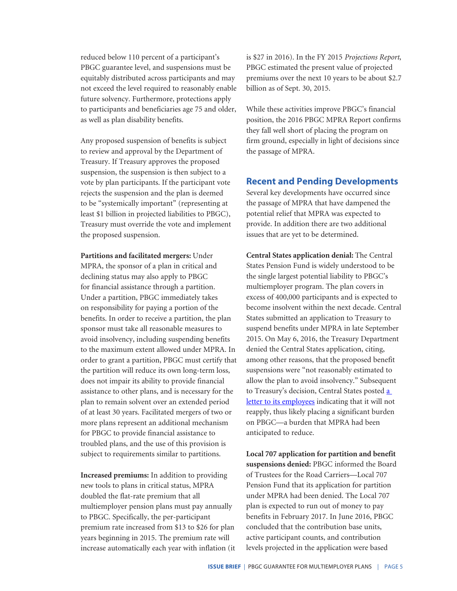reduced below 110 percent of a participant's PBGC guarantee level, and suspensions must be equitably distributed across participants and may not exceed the level required to reasonably enable future solvency. Furthermore, protections apply to participants and beneficiaries age 75 and older, as well as plan disability benefits.

Any proposed suspension of benefits is subject to review and approval by the Department of Treasury. If Treasury approves the proposed suspension, the suspension is then subject to a vote by plan participants. If the participant vote rejects the suspension and the plan is deemed to be "systemically important" (representing at least \$1 billion in projected liabilities to PBGC), Treasury must override the vote and implement the proposed suspension.

**Partitions and facilitated mergers:** Under MPRA, the sponsor of a plan in critical and declining status may also apply to PBGC for financial assistance through a partition. Under a partition, PBGC immediately takes on responsibility for paying a portion of the benefits. In order to receive a partition, the plan sponsor must take all reasonable measures to avoid insolvency, including suspending benefits to the maximum extent allowed under MPRA. In order to grant a partition, PBGC must certify that the partition will reduce its own long-term loss, does not impair its ability to provide financial assistance to other plans, and is necessary for the plan to remain solvent over an extended period of at least 30 years. Facilitated mergers of two or more plans represent an additional mechanism for PBGC to provide financial assistance to troubled plans, and the use of this provision is subject to requirements similar to partitions.

**Increased premiums:** In addition to providing new tools to plans in critical status, MPRA doubled the flat-rate premium that all multiemployer pension plans must pay annually to PBGC. Specifically, the per-participant premium rate increased from \$13 to \$26 for plan years beginning in 2015. The premium rate will increase automatically each year with inflation (it is \$27 in 2016). In the FY 2015 *Projections Report*, PBGC estimated the present value of projected premiums over the next 10 years to be about \$2.7 billion as of Sept. 30, 2015.

While these activities improve PBGC's financial position, the 2016 PBGC MPRA Report confirms they fall well short of placing the program on firm ground, especially in light of decisions since the passage of MPRA.

## **Recent and Pending Developments**

Several key developments have occurred since the passage of MPRA that have dampened the potential relief that MPRA was expected to provide. In addition there are two additional issues that are yet to be determined.

**Central States application denial:** The Central States Pension Fund is widely understood to be the single largest potential liability to PBGC's multiemployer program. The plan covers in excess of 400,000 participants and is expected to become insolvent within the next decade. Central States submitted an application to Treasury to suspend benefits under MPRA in late September 2015. On May 6, 2016, the Treasury Department denied the Central States application, citing, among other reasons, that the proposed benefit suspensions were "not reasonably estimated to allow the plan to avoid insolvency." Subsequent to Treasury's decision, Central States posted a [letter to its employees](https://mycentralstatespension.org/pension_crisis/the_attempted_rescue_plan.aspx) indicating that it will not reapply, thus likely placing a significant burden on PBGC—a burden that MPRA had been anticipated to reduce.

**Local 707 application for partition and benefit suspensions denied:** PBGC informed the Board of Trustees for the Road Carriers—Local 707 Pension Fund that its application for partition under MPRA had been denied. The Local 707 plan is expected to run out of money to pay benefits in February 2017. In June 2016, PBGC concluded that the contribution base units, active participant counts, and contribution levels projected in the application were based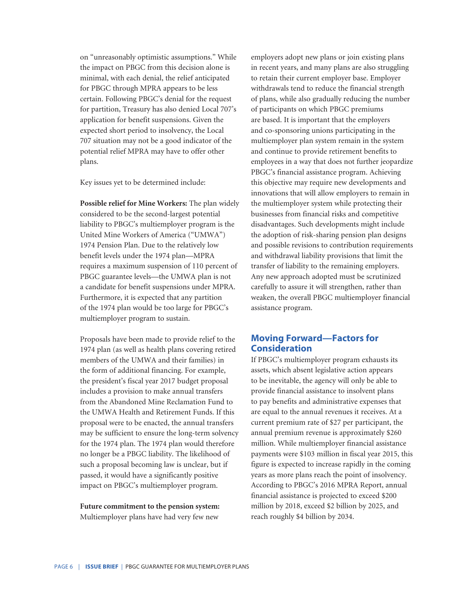on "unreasonably optimistic assumptions." While the impact on PBGC from this decision alone is minimal, with each denial, the relief anticipated for PBGC through MPRA appears to be less certain. Following PBGC's denial for the request for partition, Treasury has also denied Local 707's application for benefit suspensions. Given the expected short period to insolvency, the Local 707 situation may not be a good indicator of the potential relief MPRA may have to offer other plans.

Key issues yet to be determined include:

**Possible relief for Mine Workers:** The plan widely considered to be the second-largest potential liability to PBGC's multiemployer program is the United Mine Workers of America ("UMWA") 1974 Pension Plan. Due to the relatively low benefit levels under the 1974 plan—MPRA requires a maximum suspension of 110 percent of PBGC guarantee levels—the UMWA plan is not a candidate for benefit suspensions under MPRA. Furthermore, it is expected that any partition of the 1974 plan would be too large for PBGC's multiemployer program to sustain.

Proposals have been made to provide relief to the 1974 plan (as well as health plans covering retired members of the UMWA and their families) in the form of additional financing. For example, the president's fiscal year 2017 budget proposal includes a provision to make annual transfers from the Abandoned Mine Reclamation Fund to the UMWA Health and Retirement Funds. If this proposal were to be enacted, the annual transfers may be sufficient to ensure the long-term solvency for the 1974 plan. The 1974 plan would therefore no longer be a PBGC liability. The likelihood of such a proposal becoming law is unclear, but if passed, it would have a significantly positive impact on PBGC's multiemployer program.

**Future commitment to the pension system:** Multiemployer plans have had very few new

employers adopt new plans or join existing plans in recent years, and many plans are also struggling to retain their current employer base. Employer withdrawals tend to reduce the financial strength of plans, while also gradually reducing the number of participants on which PBGC premiums are based. It is important that the employers and co-sponsoring unions participating in the multiemployer plan system remain in the system and continue to provide retirement benefits to employees in a way that does not further jeopardize PBGC's financial assistance program. Achieving this objective may require new developments and innovations that will allow employers to remain in the multiemployer system while protecting their businesses from financial risks and competitive disadvantages. Such developments might include the adoption of risk-sharing pension plan designs and possible revisions to contribution requirements and withdrawal liability provisions that limit the transfer of liability to the remaining employers. Any new approach adopted must be scrutinized carefully to assure it will strengthen, rather than weaken, the overall PBGC multiemployer financial assistance program.

## **Moving Forward—Factors for Consideration**

If PBGC's multiemployer program exhausts its assets, which absent legislative action appears to be inevitable, the agency will only be able to provide financial assistance to insolvent plans to pay benefits and administrative expenses that are equal to the annual revenues it receives. At a current premium rate of \$27 per participant, the annual premium revenue is approximately \$260 million. While multiemployer financial assistance payments were \$103 million in fiscal year 2015, this figure is expected to increase rapidly in the coming years as more plans reach the point of insolvency. According to PBGC's 2016 MPRA Report, annual financial assistance is projected to exceed \$200 million by 2018, exceed \$2 billion by 2025, and reach roughly \$4 billion by 2034.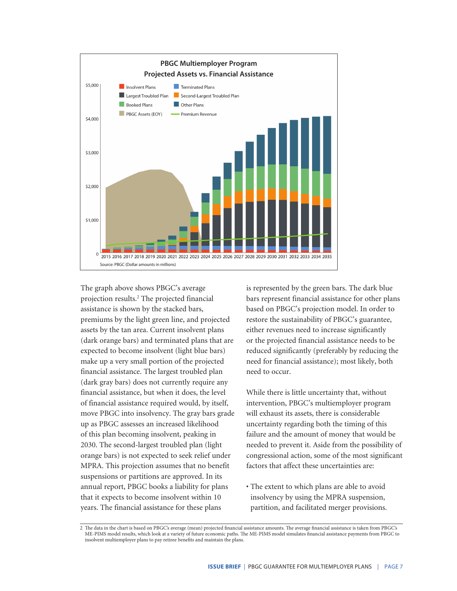

The graph above shows PBGC's average projection results.2 The projected financial assistance is shown by the stacked bars, premiums by the light green line, and projected assets by the tan area. Current insolvent plans (dark orange bars) and terminated plans that are expected to become insolvent (light blue bars) make up a very small portion of the projected financial assistance. The largest troubled plan (dark gray bars) does not currently require any financial assistance, but when it does, the level of financial assistance required would, by itself, move PBGC into insolvency. The gray bars grade up as PBGC assesses an increased likelihood of this plan becoming insolvent, peaking in 2030. The second-largest troubled plan (light orange bars) is not expected to seek relief under MPRA. This projection assumes that no benefit suspensions or partitions are approved. In its annual report, PBGC books a liability for plans that it expects to become insolvent within 10 years. The financial assistance for these plans

is represented by the green bars. The dark blue bars represent financial assistance for other plans based on PBGC's projection model. In order to restore the sustainability of PBGC's guarantee, either revenues need to increase significantly or the projected financial assistance needs to be reduced significantly (preferably by reducing the need for financial assistance); most likely, both need to occur.

While there is little uncertainty that, without intervention, PBGC's multiemployer program will exhaust its assets, there is considerable uncertainty regarding both the timing of this failure and the amount of money that would be needed to prevent it. Aside from the possibility of congressional action, some of the most significant factors that affect these uncertainties are:

• The extent to which plans are able to avoid insolvency by using the MPRA suspension, partition, and facilitated merger provisions.

<sup>2</sup> The data in the chart is based on PBGC's average (mean) projected financial assistance amounts. The average financial assistance is taken from PBGC's ME-PIMS model results, which look at a variety of future economic paths. The ME-PIMS model simulates financial assistance payments from PBGC to insolvent multiemployer plans to pay retiree benefits and maintain the plans.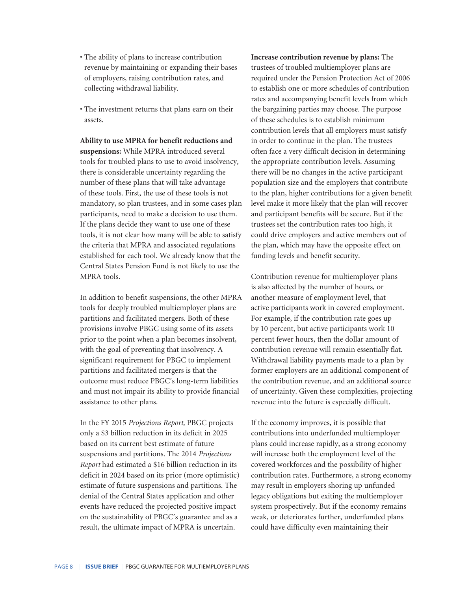- The ability of plans to increase contribution revenue by maintaining or expanding their bases of employers, raising contribution rates, and collecting withdrawal liability.
- The investment returns that plans earn on their assets.

**Ability to use MPRA for benefit reductions and suspensions:** While MPRA introduced several tools for troubled plans to use to avoid insolvency, there is considerable uncertainty regarding the number of these plans that will take advantage of these tools. First, the use of these tools is not mandatory, so plan trustees, and in some cases plan participants, need to make a decision to use them. If the plans decide they want to use one of these tools, it is not clear how many will be able to satisfy the criteria that MPRA and associated regulations established for each tool. We already know that the Central States Pension Fund is not likely to use the MPRA tools.

In addition to benefit suspensions, the other MPRA tools for deeply troubled multiemployer plans are partitions and facilitated mergers. Both of these provisions involve PBGC using some of its assets prior to the point when a plan becomes insolvent, with the goal of preventing that insolvency. A significant requirement for PBGC to implement partitions and facilitated mergers is that the outcome must reduce PBGC's long-term liabilities and must not impair its ability to provide financial assistance to other plans.

In the FY 2015 *Projections Report,* PBGC projects only a \$3 billion reduction in its deficit in 2025 based on its current best estimate of future suspensions and partitions. The 2014 *Projections Report* had estimated a \$16 billion reduction in its deficit in 2024 based on its prior (more optimistic) estimate of future suspensions and partitions. The denial of the Central States application and other events have reduced the projected positive impact on the sustainability of PBGC's guarantee and as a result, the ultimate impact of MPRA is uncertain.

**Increase contribution revenue by plans:** The trustees of troubled multiemployer plans are required under the Pension Protection Act of 2006 to establish one or more schedules of contribution rates and accompanying benefit levels from which the bargaining parties may choose. The purpose of these schedules is to establish minimum contribution levels that all employers must satisfy in order to continue in the plan. The trustees often face a very difficult decision in determining the appropriate contribution levels. Assuming there will be no changes in the active participant population size and the employers that contribute to the plan, higher contributions for a given benefit level make it more likely that the plan will recover and participant benefits will be secure. But if the trustees set the contribution rates too high, it could drive employers and active members out of the plan, which may have the opposite effect on funding levels and benefit security.

Contribution revenue for multiemployer plans is also affected by the number of hours, or another measure of employment level, that active participants work in covered employment. For example, if the contribution rate goes up by 10 percent, but active participants work 10 percent fewer hours, then the dollar amount of contribution revenue will remain essentially flat. Withdrawal liability payments made to a plan by former employers are an additional component of the contribution revenue, and an additional source of uncertainty. Given these complexities, projecting revenue into the future is especially difficult.

If the economy improves, it is possible that contributions into underfunded multiemployer plans could increase rapidly, as a strong economy will increase both the employment level of the covered workforces and the possibility of higher contribution rates. Furthermore, a strong economy may result in employers shoring up unfunded legacy obligations but exiting the multiemployer system prospectively. But if the economy remains weak, or deteriorates further, underfunded plans could have difficulty even maintaining their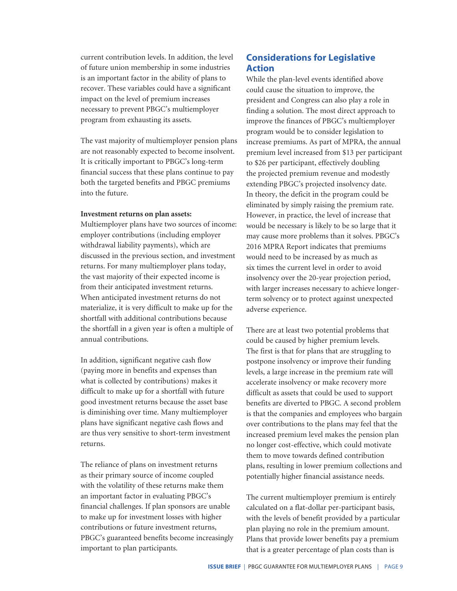current contribution levels. In addition, the level of future union membership in some industries is an important factor in the ability of plans to recover. These variables could have a significant impact on the level of premium increases necessary to prevent PBGC's multiemployer program from exhausting its assets.

The vast majority of multiemployer pension plans are not reasonably expected to become insolvent. It is critically important to PBGC's long-term financial success that these plans continue to pay both the targeted benefits and PBGC premiums into the future.

### **Investment returns on plan assets:**

Multiemployer plans have two sources of income: employer contributions (including employer withdrawal liability payments), which are discussed in the previous section, and investment returns. For many multiemployer plans today, the vast majority of their expected income is from their anticipated investment returns. When anticipated investment returns do not materialize, it is very difficult to make up for the shortfall with additional contributions because the shortfall in a given year is often a multiple of annual contributions.

In addition, significant negative cash flow (paying more in benefits and expenses than what is collected by contributions) makes it difficult to make up for a shortfall with future good investment returns because the asset base is diminishing over time. Many multiemployer plans have significant negative cash flows and are thus very sensitive to short-term investment returns.

The reliance of plans on investment returns as their primary source of income coupled with the volatility of these returns make them an important factor in evaluating PBGC's financial challenges. If plan sponsors are unable to make up for investment losses with higher contributions or future investment returns, PBGC's guaranteed benefits become increasingly important to plan participants.

## **Considerations for Legislative Action**

While the plan-level events identified above could cause the situation to improve, the president and Congress can also play a role in finding a solution. The most direct approach to improve the finances of PBGC's multiemployer program would be to consider legislation to increase premiums. As part of MPRA, the annual premium level increased from \$13 per participant to \$26 per participant, effectively doubling the projected premium revenue and modestly extending PBGC's projected insolvency date. In theory, the deficit in the program could be eliminated by simply raising the premium rate. However, in practice, the level of increase that would be necessary is likely to be so large that it may cause more problems than it solves. PBGC's 2016 MPRA Report indicates that premiums would need to be increased by as much as six times the current level in order to avoid insolvency over the 20-year projection period, with larger increases necessary to achieve longerterm solvency or to protect against unexpected adverse experience.

There are at least two potential problems that could be caused by higher premium levels. The first is that for plans that are struggling to postpone insolvency or improve their funding levels, a large increase in the premium rate will accelerate insolvency or make recovery more difficult as assets that could be used to support benefits are diverted to PBGC. A second problem is that the companies and employees who bargain over contributions to the plans may feel that the increased premium level makes the pension plan no longer cost-effective, which could motivate them to move towards defined contribution plans, resulting in lower premium collections and potentially higher financial assistance needs.

The current multiemployer premium is entirely calculated on a flat-dollar per-participant basis, with the levels of benefit provided by a particular plan playing no role in the premium amount. Plans that provide lower benefits pay a premium that is a greater percentage of plan costs than is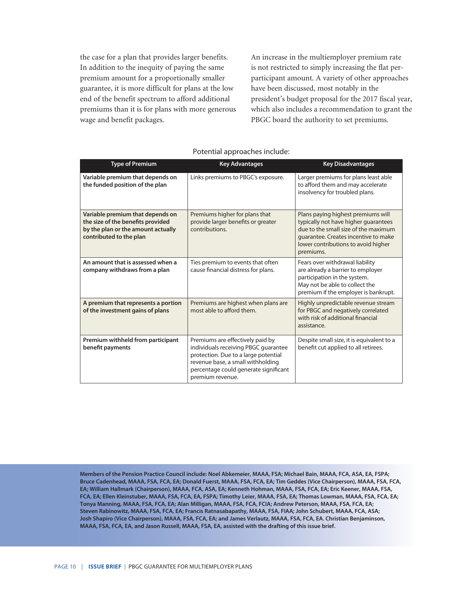the case for a plan that provides larger benefits. In addition to the inequity of paying the same premium amount for a proportionally smaller guarantee, it is more difficult for plans at the low end of the benefit spectrum to afford additional premiums than it is for plans with more generous wage and benefit packages.

An increase in the multiemployer premium rate is not restricted to simply increasing the flat perparticipant amount. A variety of other approaches have been discussed, most notably in the president's budget proposal for the 2017 fiscal year, which also includes a recommendation to grant the PBGC board the authority to set premiums.

| <b>Type of Premium</b>                                                                                                                 | <b>Key Advantages</b>                                                                                                                                                                                              | <b>Key Disadvantages</b>                                                                                                                                                                                       |
|----------------------------------------------------------------------------------------------------------------------------------------|--------------------------------------------------------------------------------------------------------------------------------------------------------------------------------------------------------------------|----------------------------------------------------------------------------------------------------------------------------------------------------------------------------------------------------------------|
| Variable premium that depends on<br>the funded position of the plan                                                                    | Links premiums to PBGC's exposure.                                                                                                                                                                                 | Larger premiums for plans least able<br>to afford them and may accelerate<br>insolvency for troubled plans.                                                                                                    |
| Variable premium that depends on<br>the size of the benefits provided<br>by the plan or the amount actually<br>contributed to the plan | Premiums higher for plans that<br>provide larger benefits or greater<br>contributions.                                                                                                                             | Plans paying highest premiums will<br>typically not have higher guarantees<br>due to the small size of the maximum<br>quarantee. Creates incentive to make<br>lower contributions to avoid higher<br>premiums. |
| An amount that is assessed when a<br>company withdraws from a plan                                                                     | Ties premium to events that often<br>cause financial distress for plans.                                                                                                                                           | Fears over withdrawal liability<br>are already a barrier to employer<br>participation in the system.<br>May not be able to collect the<br>premium if the employer is bankrupt.                                 |
| A premium that represents a portion<br>of the investment gains of plans                                                                | Premiums are highest when plans are<br>most able to afford them.                                                                                                                                                   | Highly unpredictable revenue stream<br>for PBGC and negatively correlated<br>with risk of additional financial<br>assistance.                                                                                  |
| Premium withheld from participant<br>benefit payments                                                                                  | Premiums are effectively paid by<br>individuals receiving PBGC guarantee<br>protection. Due to a large potential<br>revenue base, a small withholding<br>percentage could generate significant<br>premium revenue. | Despite small size, it is equivalent to a<br>benefit cut applied to all retirees.                                                                                                                              |

Potential approaches include:

**Members of the Pension Practice Council include: Noel Abkemeier, MAAA, FSA; Michael Bain, MAAA, FCA, ASA, EA, FSPA; Bruce Cadenhead, MAAA, FSA, FCA, EA; Donald Fuerst, MAAA, FSA, FCA, EA; Tim Geddes (Vice Chairperson), MAAA, FSA, FCA, EA; William Hallmark (Chairperson), MAAA, FCA, ASA, EA; Kenneth Hohman, MAAA, FSA, FCA, EA; Eric Keener, MAAA, FSA, FCA, EA; Ellen Kleinstuber, MAAA, FSA, FCA, EA, FSPA; Timothy Leier, MAAA, FSA, EA; Thomas Lowman, MAAA, FSA, FCA, EA; Tonya Manning, MAAA, FSA, FCA, EA; Alan Milligan, MAAA, FSA, FCA, FCIA; Andrew Peterson, MAAA, FSA, FCA, EA; Steven Rabinowitz, MAAA, FSA, FCA, EA; Francis Ratnasabapathy, MAAA, FSA, FIAA; John Schubert, MAAA, FCA, ASA; Josh Shapiro (Vice Chairperson), MAAA, FSA, FCA, EA; and James Verlautz, MAAA, FSA, FCA, EA. Christian Benjaminson, MAAA, FSA, FCA, EA, and Jason Russell, MAAA, FSA, EA, assisted with the drafting of this issue brief.**